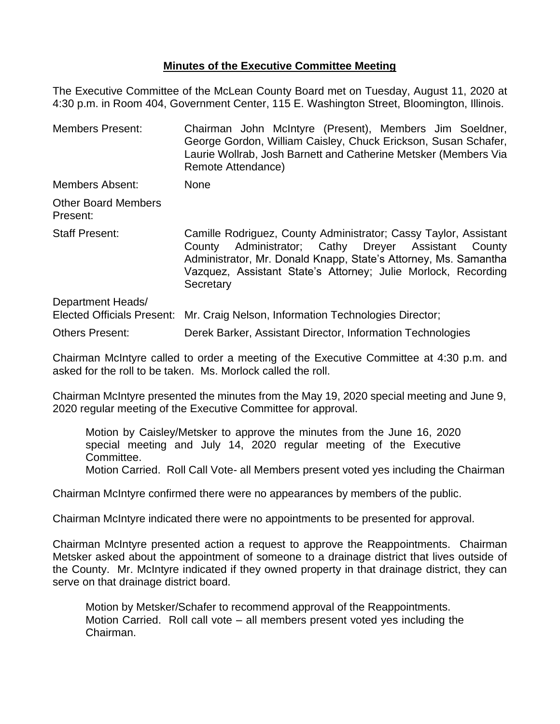## **Minutes of the Executive Committee Meeting**

The Executive Committee of the McLean County Board met on Tuesday, August 11, 2020 at 4:30 p.m. in Room 404, Government Center, 115 E. Washington Street, Bloomington, Illinois.

Members Present: Chairman John McIntyre (Present), Members Jim Soeldner, George Gordon, William Caisley, Chuck Erickson, Susan Schafer, Laurie Wollrab, Josh Barnett and Catherine Metsker (Members Via Remote Attendance) Members Absent: None Other Board Members Present: Staff Present: Camille Rodriguez, County Administrator; Cassy Taylor, Assistant County Administrator; Cathy Dreyer Assistant County Administrator, Mr. Donald Knapp, State's Attorney, Ms. Samantha Vazquez, Assistant State's Attorney; Julie Morlock, Recording **Secretary** Department Heads/ Elected Officials Present: Mr. Craig Nelson, Information Technologies Director; Others Present: Derek Barker, Assistant Director, Information Technologies

Chairman McIntyre called to order a meeting of the Executive Committee at 4:30 p.m. and asked for the roll to be taken. Ms. Morlock called the roll.

Chairman McIntyre presented the minutes from the May 19, 2020 special meeting and June 9, 2020 regular meeting of the Executive Committee for approval.

Motion by Caisley/Metsker to approve the minutes from the June 16, 2020 special meeting and July 14, 2020 regular meeting of the Executive Committee. Motion Carried. Roll Call Vote- all Members present voted yes including the Chairman

Chairman McIntyre confirmed there were no appearances by members of the public.

Chairman McIntyre indicated there were no appointments to be presented for approval.

Chairman McIntyre presented action a request to approve the Reappointments. Chairman Metsker asked about the appointment of someone to a drainage district that lives outside of the County. Mr. McIntyre indicated if they owned property in that drainage district, they can serve on that drainage district board.

Motion by Metsker/Schafer to recommend approval of the Reappointments. Motion Carried. Roll call vote – all members present voted yes including the Chairman.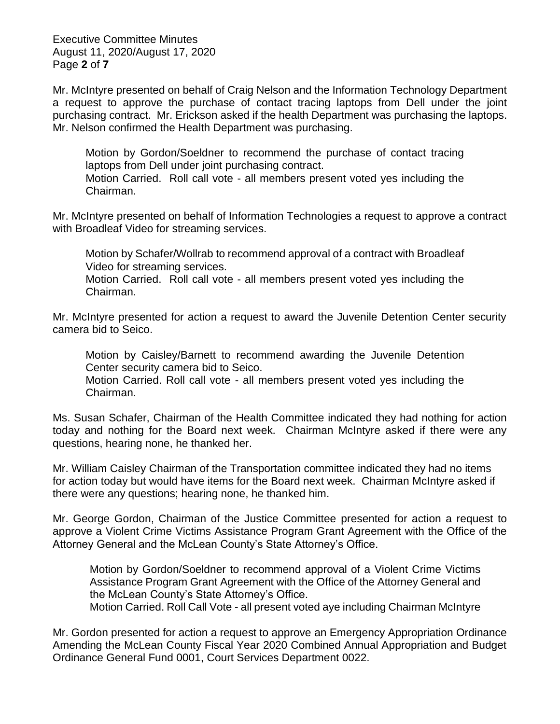Executive Committee Minutes August 11, 2020/August 17, 2020 Page **2** of **7**

Mr. McIntyre presented on behalf of Craig Nelson and the Information Technology Department a request to approve the purchase of contact tracing laptops from Dell under the joint purchasing contract. Mr. Erickson asked if the health Department was purchasing the laptops. Mr. Nelson confirmed the Health Department was purchasing.

Motion by Gordon/Soeldner to recommend the purchase of contact tracing laptops from Dell under joint purchasing contract. Motion Carried. Roll call vote - all members present voted yes including the Chairman.

Mr. McIntyre presented on behalf of Information Technologies a request to approve a contract with Broadleaf Video for streaming services.

Motion by Schafer/Wollrab to recommend approval of a contract with Broadleaf Video for streaming services.

Motion Carried. Roll call vote - all members present voted yes including the Chairman.

Mr. McIntyre presented for action a request to award the Juvenile Detention Center security camera bid to Seico.

Motion by Caisley/Barnett to recommend awarding the Juvenile Detention Center security camera bid to Seico.

Motion Carried. Roll call vote - all members present voted yes including the Chairman.

Ms. Susan Schafer, Chairman of the Health Committee indicated they had nothing for action today and nothing for the Board next week. Chairman McIntyre asked if there were any questions, hearing none, he thanked her.

Mr. William Caisley Chairman of the Transportation committee indicated they had no items for action today but would have items for the Board next week. Chairman McIntyre asked if there were any questions; hearing none, he thanked him.

Mr. George Gordon, Chairman of the Justice Committee presented for action a request to approve a Violent Crime Victims Assistance Program Grant Agreement with the Office of the Attorney General and the McLean County's State Attorney's Office.

Motion by Gordon/Soeldner to recommend approval of a Violent Crime Victims Assistance Program Grant Agreement with the Office of the Attorney General and the McLean County's State Attorney's Office. Motion Carried. Roll Call Vote - all present voted aye including Chairman McIntyre

Mr. Gordon presented for action a request to approve an Emergency Appropriation Ordinance Amending the McLean County Fiscal Year 2020 Combined Annual Appropriation and Budget Ordinance General Fund 0001, Court Services Department 0022.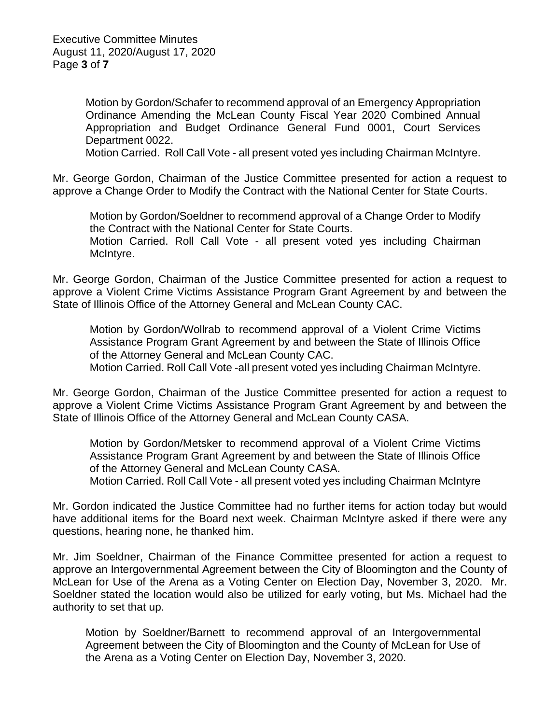Motion by Gordon/Schafer to recommend approval of an Emergency Appropriation Ordinance Amending the McLean County Fiscal Year 2020 Combined Annual Appropriation and Budget Ordinance General Fund 0001, Court Services Department 0022.

Motion Carried. Roll Call Vote - all present voted yes including Chairman McIntyre.

Mr. George Gordon, Chairman of the Justice Committee presented for action a request to approve a Change Order to Modify the Contract with the National Center for State Courts.

Motion by Gordon/Soeldner to recommend approval of a Change Order to Modify the Contract with the National Center for State Courts.

Motion Carried. Roll Call Vote - all present voted yes including Chairman McIntyre.

Mr. George Gordon, Chairman of the Justice Committee presented for action a request to approve a Violent Crime Victims Assistance Program Grant Agreement by and between the State of Illinois Office of the Attorney General and McLean County CAC.

Motion by Gordon/Wollrab to recommend approval of a Violent Crime Victims Assistance Program Grant Agreement by and between the State of Illinois Office of the Attorney General and McLean County CAC. Motion Carried. Roll Call Vote -all present voted yes including Chairman McIntyre.

Mr. George Gordon, Chairman of the Justice Committee presented for action a request to

approve a Violent Crime Victims Assistance Program Grant Agreement by and between the State of Illinois Office of the Attorney General and McLean County CASA.

Motion by Gordon/Metsker to recommend approval of a Violent Crime Victims Assistance Program Grant Agreement by and between the State of Illinois Office of the Attorney General and McLean County CASA.

Motion Carried. Roll Call Vote - all present voted yes including Chairman McIntyre

Mr. Gordon indicated the Justice Committee had no further items for action today but would have additional items for the Board next week. Chairman McIntyre asked if there were any questions, hearing none, he thanked him.

Mr. Jim Soeldner, Chairman of the Finance Committee presented for action a request to approve an Intergovernmental Agreement between the City of Bloomington and the County of McLean for Use of the Arena as a Voting Center on Election Day, November 3, 2020. Mr. Soeldner stated the location would also be utilized for early voting, but Ms. Michael had the authority to set that up.

Motion by Soeldner/Barnett to recommend approval of an Intergovernmental Agreement between the City of Bloomington and the County of McLean for Use of the Arena as a Voting Center on Election Day, November 3, 2020.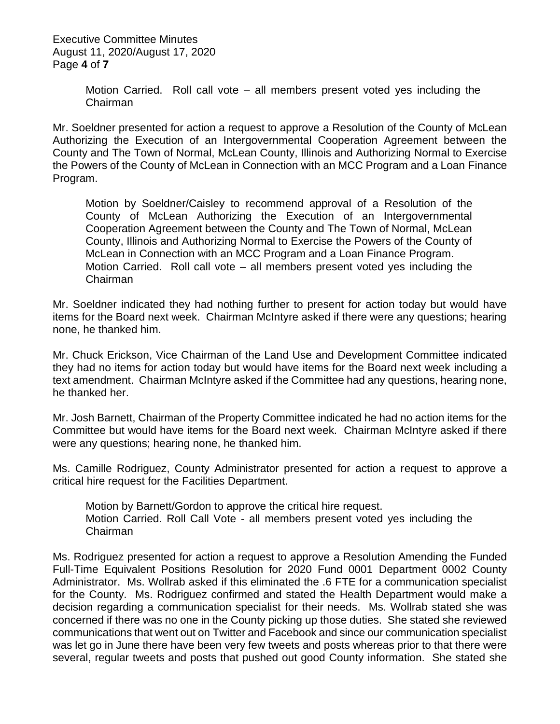Executive Committee Minutes August 11, 2020/August 17, 2020 Page **4** of **7**

> Motion Carried. Roll call vote – all members present voted yes including the Chairman

Mr. Soeldner presented for action a request to approve a Resolution of the County of McLean Authorizing the Execution of an Intergovernmental Cooperation Agreement between the County and The Town of Normal, McLean County, Illinois and Authorizing Normal to Exercise the Powers of the County of McLean in Connection with an MCC Program and a Loan Finance Program.

Motion by Soeldner/Caisley to recommend approval of a Resolution of the County of McLean Authorizing the Execution of an Intergovernmental Cooperation Agreement between the County and The Town of Normal, McLean County, Illinois and Authorizing Normal to Exercise the Powers of the County of McLean in Connection with an MCC Program and a Loan Finance Program. Motion Carried. Roll call vote – all members present voted yes including the Chairman

Mr. Soeldner indicated they had nothing further to present for action today but would have items for the Board next week. Chairman McIntyre asked if there were any questions; hearing none, he thanked him.

Mr. Chuck Erickson, Vice Chairman of the Land Use and Development Committee indicated they had no items for action today but would have items for the Board next week including a text amendment. Chairman McIntyre asked if the Committee had any questions, hearing none, he thanked her.

Mr. Josh Barnett, Chairman of the Property Committee indicated he had no action items for the Committee but would have items for the Board next week. Chairman McIntyre asked if there were any questions; hearing none, he thanked him.

Ms. Camille Rodriguez, County Administrator presented for action a request to approve a critical hire request for the Facilities Department.

Motion by Barnett/Gordon to approve the critical hire request. Motion Carried. Roll Call Vote - all members present voted yes including the Chairman

Ms. Rodriguez presented for action a request to approve a Resolution Amending the Funded Full-Time Equivalent Positions Resolution for 2020 Fund 0001 Department 0002 County Administrator. Ms. Wollrab asked if this eliminated the .6 FTE for a communication specialist for the County. Ms. Rodriguez confirmed and stated the Health Department would make a decision regarding a communication specialist for their needs. Ms. Wollrab stated she was concerned if there was no one in the County picking up those duties. She stated she reviewed communications that went out on Twitter and Facebook and since our communication specialist was let go in June there have been very few tweets and posts whereas prior to that there were several, regular tweets and posts that pushed out good County information. She stated she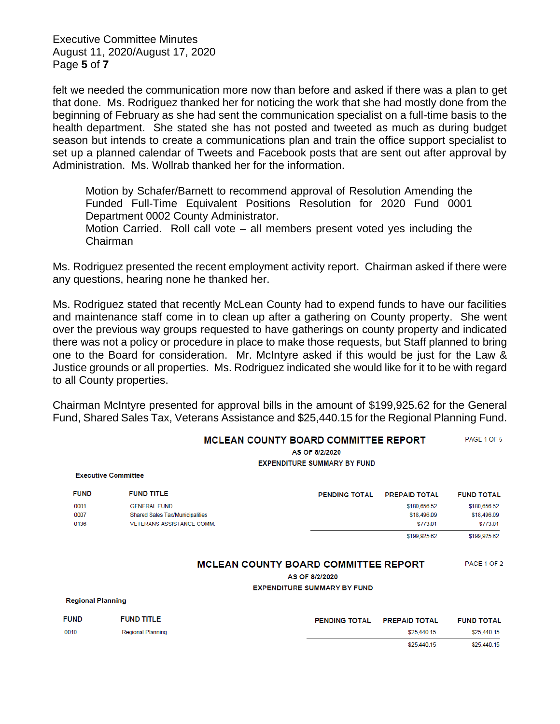Executive Committee Minutes August 11, 2020/August 17, 2020 Page **5** of **7**

felt we needed the communication more now than before and asked if there was a plan to get that done. Ms. Rodriguez thanked her for noticing the work that she had mostly done from the beginning of February as she had sent the communication specialist on a full-time basis to the health department. She stated she has not posted and tweeted as much as during budget season but intends to create a communications plan and train the office support specialist to set up a planned calendar of Tweets and Facebook posts that are sent out after approval by Administration. Ms. Wollrab thanked her for the information.

Motion by Schafer/Barnett to recommend approval of Resolution Amending the Funded Full-Time Equivalent Positions Resolution for 2020 Fund 0001 Department 0002 County Administrator.

Motion Carried. Roll call vote – all members present voted yes including the Chairman

Ms. Rodriguez presented the recent employment activity report. Chairman asked if there were any questions, hearing none he thanked her.

Ms. Rodriguez stated that recently McLean County had to expend funds to have our facilities and maintenance staff come in to clean up after a gathering on County property. She went over the previous way groups requested to have gatherings on county property and indicated there was not a policy or procedure in place to make those requests, but Staff planned to bring one to the Board for consideration. Mr. McIntyre asked if this would be just for the Law & Justice grounds or all properties. Ms. Rodriguez indicated she would like for it to be with regard to all County properties.

Chairman McIntyre presented for approval bills in the amount of \$199,925.62 for the General Fund, Shared Sales Tax, Veterans Assistance and \$25,440.15 for the Regional Planning Fund.

MCLEAN COUNTY BOARD COMMITTEE REPORT

| <b>FUND TOTAL</b> |
|-------------------|
| \$180,656.52      |
| \$18,496.09       |
| \$773.01          |
| \$199,925.62      |
| PAGE 1 OF 2       |
|                   |
|                   |
|                   |
| <b>FUND TOTAL</b> |
| \$25,440.15       |
|                   |

\$25,440.15 \$25,440.15

PAGE 1 OF 5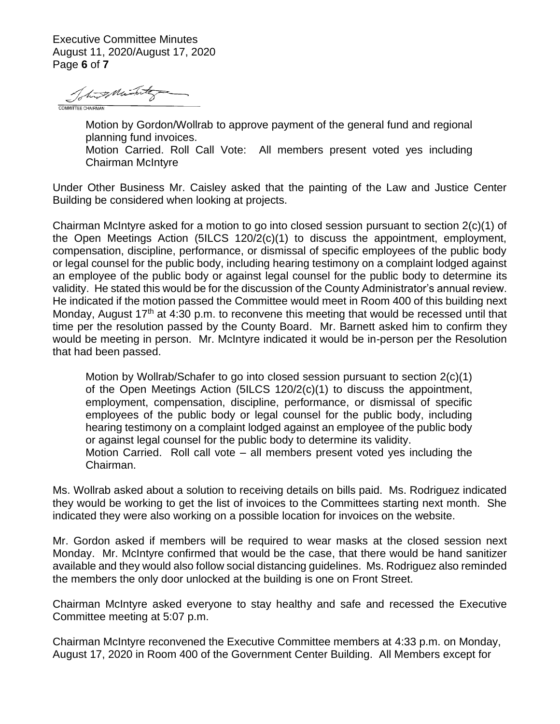Executive Committee Minutes August 11, 2020/August 17, 2020 Page **6** of **7**

Totas Mint

Motion by Gordon/Wollrab to approve payment of the general fund and regional planning fund invoices. Motion Carried. Roll Call Vote: All members present voted yes including Chairman McIntyre

Under Other Business Mr. Caisley asked that the painting of the Law and Justice Center Building be considered when looking at projects.

Chairman McIntyre asked for a motion to go into closed session pursuant to section 2(c)(1) of the Open Meetings Action (5ILCS 120/2(c)(1) to discuss the appointment, employment, compensation, discipline, performance, or dismissal of specific employees of the public body or legal counsel for the public body, including hearing testimony on a complaint lodged against an employee of the public body or against legal counsel for the public body to determine its validity. He stated this would be for the discussion of the County Administrator's annual review. He indicated if the motion passed the Committee would meet in Room 400 of this building next Monday, August  $17<sup>th</sup>$  at 4:30 p.m. to reconvene this meeting that would be recessed until that time per the resolution passed by the County Board. Mr. Barnett asked him to confirm they would be meeting in person. Mr. McIntyre indicated it would be in-person per the Resolution that had been passed.

Motion by Wollrab/Schafer to go into closed session pursuant to section 2(c)(1) of the Open Meetings Action (5ILCS 120/2(c)(1) to discuss the appointment, employment, compensation, discipline, performance, or dismissal of specific employees of the public body or legal counsel for the public body, including hearing testimony on a complaint lodged against an employee of the public body or against legal counsel for the public body to determine its validity. Motion Carried. Roll call vote – all members present voted yes including the Chairman.

Ms. Wollrab asked about a solution to receiving details on bills paid. Ms. Rodriguez indicated they would be working to get the list of invoices to the Committees starting next month. She indicated they were also working on a possible location for invoices on the website.

Mr. Gordon asked if members will be required to wear masks at the closed session next Monday. Mr. McIntyre confirmed that would be the case, that there would be hand sanitizer available and they would also follow social distancing guidelines. Ms. Rodriguez also reminded the members the only door unlocked at the building is one on Front Street.

Chairman McIntyre asked everyone to stay healthy and safe and recessed the Executive Committee meeting at 5:07 p.m.

Chairman McIntyre reconvened the Executive Committee members at 4:33 p.m. on Monday, August 17, 2020 in Room 400 of the Government Center Building. All Members except for